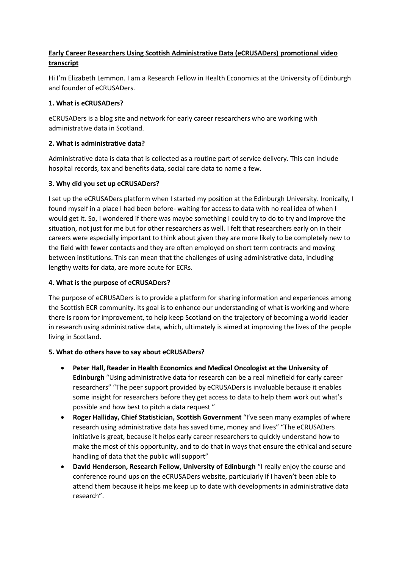# **Early Career Researchers Using Scottish Administrative Data (eCRUSADers) promotional video transcript**

Hi I'm Elizabeth Lemmon. I am a Research Fellow in Health Economics at the University of Edinburgh and founder of eCRUSADers.

### **1. What is eCRUSADers?**

eCRUSADers is a blog site and network for early career researchers who are working with administrative data in Scotland.

# **2. What is administrative data?**

Administrative data is data that is collected as a routine part of service delivery. This can include hospital records, tax and benefits data, social care data to name a few.

# **3. Why did you set up eCRUSADers?**

I set up the eCRUSADers platform when I started my position at the Edinburgh University. Ironically, I found myself in a place I had been before- waiting for access to data with no real idea of when I would get it. So, I wondered if there was maybe something I could try to do to try and improve the situation, not just for me but for other researchers as well. I felt that researchers early on in their careers were especially important to think about given they are more likely to be completely new to the field with fewer contacts and they are often employed on short term contracts and moving between institutions. This can mean that the challenges of using administrative data, including lengthy waits for data, are more acute for ECRs.

#### **4. What is the purpose of eCRUSADers?**

The purpose of eCRUSADers is to provide a platform for sharing information and experiences among the Scottish ECR community. Its goal is to enhance our understanding of what is working and where there is room for improvement, to help keep Scotland on the trajectory of becoming a world leader in research using administrative data, which, ultimately is aimed at improving the lives of the people living in Scotland.

#### **5. What do others have to say about eCRUSADers?**

- **Peter Hall, Reader in Health Economics and Medical Oncologist at the University of Edinburgh** "Using administrative data for research can be a real minefield for early career researchers" "The peer support provided by eCRUSADers is invaluable because it enables some insight for researchers before they get access to data to help them work out what's possible and how best to pitch a data request "
- **Roger Halliday, Chief Statistician, Scottish Government** "I've seen many examples of where research using administrative data has saved time, money and lives" "The eCRUSADers initiative is great, because it helps early career researchers to quickly understand how to make the most of this opportunity, and to do that in ways that ensure the ethical and secure handling of data that the public will support"
- **David Henderson, Research Fellow, University of Edinburgh** "I really enjoy the course and conference round ups on the eCRUSADers website, particularly if I haven't been able to attend them because it helps me keep up to date with developments in administrative data research".